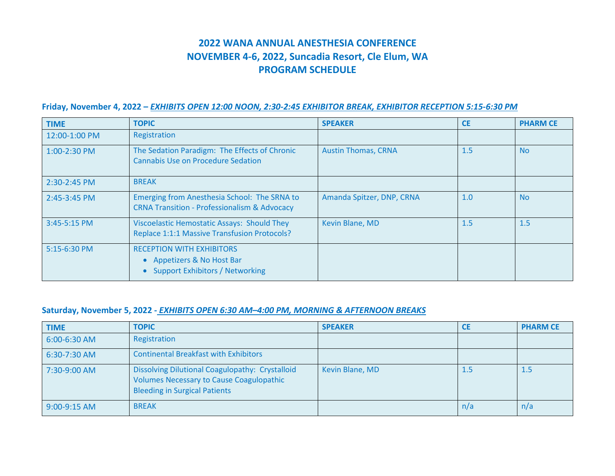# **2022 WANA ANNUAL ANESTHESIA CONFERENCE NOVEMBER 4-6, 2022, Suncadia Resort, Cle Elum, WA PROGRAM SCHEDULE**

### **Friday, November 4, 2022 –** *EXHIBITS OPEN 12:00 NOON, 2:30-2:45 EXHIBITOR BREAK, EXHIBITOR RECEPTION 5:15-6:30 PM*

| <b>TIME</b>    | <b>TOPIC</b>                                                                                                                     | <b>SPEAKER</b>             | <b>CE</b> | <b>PHARM CE</b> |
|----------------|----------------------------------------------------------------------------------------------------------------------------------|----------------------------|-----------|-----------------|
| 12:00-1:00 PM  | Registration                                                                                                                     |                            |           |                 |
| $1:00-2:30$ PM | The Sedation Paradigm: The Effects of Chronic<br><b>Cannabis Use on Procedure Sedation</b>                                       | <b>Austin Thomas, CRNA</b> | 1.5       | <b>No</b>       |
| 2:30-2:45 PM   | <b>BREAK</b>                                                                                                                     |                            |           |                 |
| 2:45-3:45 PM   | Emerging from Anesthesia School: The SRNA to<br><b>CRNA Transition - Professionalism &amp; Advocacy</b>                          | Amanda Spitzer, DNP, CRNA  | 1.0       | <b>No</b>       |
| 3:45-5:15 PM   | Viscoelastic Hemostatic Assays: Should They<br>Replace 1:1:1 Massive Transfusion Protocols?                                      | Kevin Blane, MD            | 1.5       | 1.5             |
| $5:15-6:30$ PM | <b>RECEPTION WITH EXHIBITORS</b><br>Appetizers & No Host Bar<br>$\bullet$<br><b>Support Exhibitors / Networking</b><br>$\bullet$ |                            |           |                 |

#### **Saturday, November 5, 2022 -** *EXHIBITS OPEN 6:30 AM–4:00 PM, MORNING & AFTERNOON BREAKS*

| <b>TIME</b>    | <b>TOPIC</b>                                                                                                                                      | <b>SPEAKER</b>  | <b>CE</b> | <b>PHARM CE</b> |
|----------------|---------------------------------------------------------------------------------------------------------------------------------------------------|-----------------|-----------|-----------------|
| 6:00-6:30 AM   | Registration                                                                                                                                      |                 |           |                 |
| $6:30-7:30$ AM | <b>Continental Breakfast with Exhibitors</b>                                                                                                      |                 |           |                 |
| 7:30-9:00 AM   | <b>Dissolving Dilutional Coagulopathy: Crystalloid</b><br><b>Volumes Necessary to Cause Coagulopathic</b><br><b>Bleeding in Surgical Patients</b> | Kevin Blane, MD | 1.5       | 1.5             |
| $9:00-9:15$ AM | <b>BREAK</b>                                                                                                                                      |                 | n/a       | n/a             |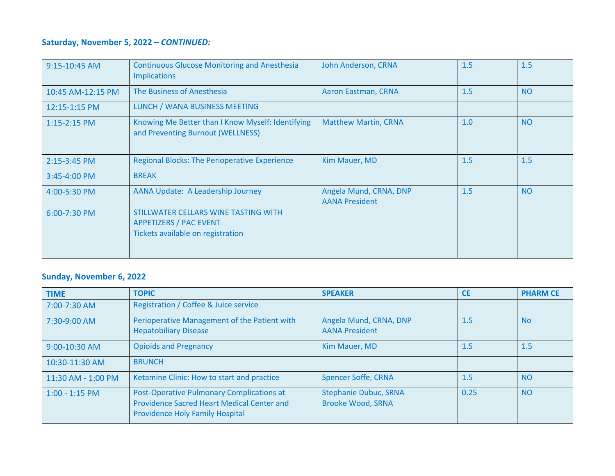## **Saturday, November 5, 2022 –** *CONTINUED:*

| 9:15-10:45 AM     | <b>Continuous Glucose Monitoring and Anesthesia</b><br><b>Implications</b>                                 | <b>John Anderson, CRNA</b>                      | 1.5 | 1.5       |
|-------------------|------------------------------------------------------------------------------------------------------------|-------------------------------------------------|-----|-----------|
| 10:45 AM-12:15 PM | The Business of Anesthesia                                                                                 | Aaron Eastman, CRNA                             | 1.5 | <b>NO</b> |
| 12:15-1:15 PM     | LUNCH / WANA BUSINESS MEETING                                                                              |                                                 |     |           |
| $1:15-2:15$ PM    | Knowing Me Better than I Know Myself: Identifying<br>and Preventing Burnout (WELLNESS)                     | <b>Matthew Martin, CRNA</b>                     | 1.0 | <b>NO</b> |
| 2:15-3:45 PM      | <b>Regional Blocks: The Perioperative Experience</b>                                                       | Kim Mauer, MD                                   | 1.5 | 1.5       |
| 3:45-4:00 PM      | <b>BREAK</b>                                                                                               |                                                 |     |           |
| 4:00-5:30 PM      | AANA Update: A Leadership Journey                                                                          | Angela Mund, CRNA, DNP<br><b>AANA President</b> | 1.5 | <b>NO</b> |
| 6:00-7:30 PM      | STILLWATER CELLARS WINE TASTING WITH<br><b>APPETIZERS / PAC EVENT</b><br>Tickets available on registration |                                                 |     |           |

### **Sunday, November 6, 2022**

| <b>TIME</b>        | <b>TOPIC</b>                                                                                                                      | <b>SPEAKER</b>                                           | <b>CE</b> | <b>PHARM CE</b> |
|--------------------|-----------------------------------------------------------------------------------------------------------------------------------|----------------------------------------------------------|-----------|-----------------|
| 7:00-7:30 AM       | Registration / Coffee & Juice service                                                                                             |                                                          |           |                 |
| 7:30-9:00 AM       | Perioperative Management of the Patient with<br><b>Hepatobiliary Disease</b>                                                      | Angela Mund, CRNA, DNP<br><b>AANA President</b>          | 1.5       | <b>No</b>       |
| 9:00-10:30 AM      | <b>Opioids and Pregnancy</b>                                                                                                      | Kim Mauer, MD                                            | 1.5       | 1.5             |
| 10:30-11:30 AM     | <b>BRUNCH</b>                                                                                                                     |                                                          |           |                 |
| 11:30 AM - 1:00 PM | Ketamine Clinic: How to start and practice                                                                                        | <b>Spencer Soffe, CRNA</b>                               | 1.5       | <b>NO</b>       |
| $1:00 - 1:15$ PM   | Post-Operative Pulmonary Complications at<br>Providence Sacred Heart Medical Center and<br><b>Providence Holy Family Hospital</b> | <b>Stephanie Dubuc, SRNA</b><br><b>Brooke Wood, SRNA</b> | 0.25      | <b>NO</b>       |